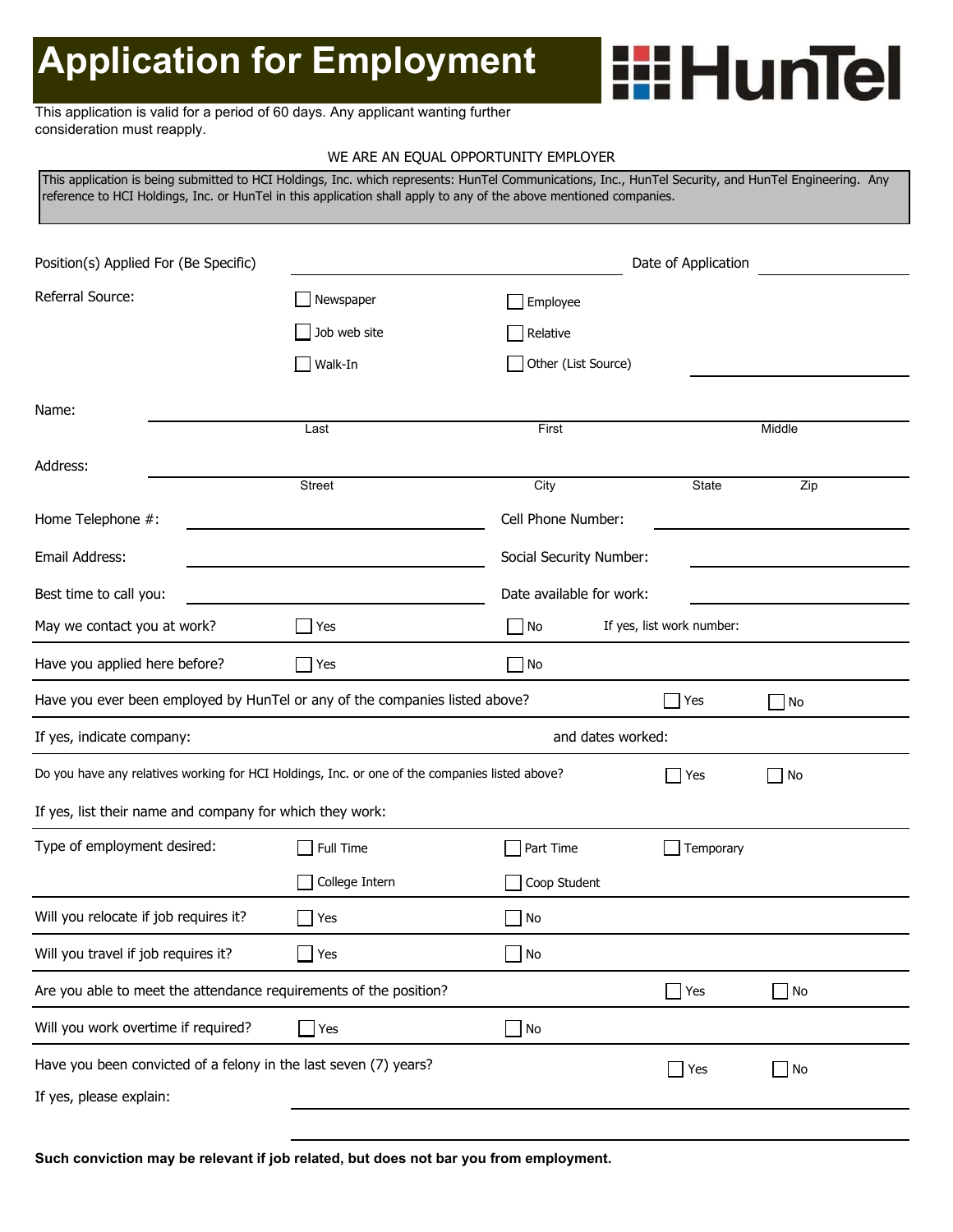# **Application for Employment**

#### This application is valid for a period of 60 days. Any applicant wanting further consideration must reapply.

#### WE ARE AN EQUAL OPPORTUNITY EMPLOYER

**Hiller** HunTel

This application is being submitted to HCI Holdings, Inc. which represents: HunTel Communications, Inc., HunTel Security, and HunTel Engineering. Any reference to HCI Holdings, Inc. or HunTel in this application shall apply to any of the above mentioned companies.

| Position(s) Applied For (Be Specific)                                                          |                    |                         | Date of Application       |           |  |  |
|------------------------------------------------------------------------------------------------|--------------------|-------------------------|---------------------------|-----------|--|--|
| Referral Source:                                                                               | Newspaper          | Employee                |                           |           |  |  |
|                                                                                                | Job web site       | Relative                |                           |           |  |  |
|                                                                                                | Walk-In            | Other (List Source)     |                           |           |  |  |
| Name:                                                                                          |                    |                         |                           |           |  |  |
|                                                                                                | Last               | First                   |                           | Middle    |  |  |
| Address:                                                                                       |                    |                         |                           |           |  |  |
|                                                                                                | Street             | City                    | State                     | Zip       |  |  |
| Home Telephone #:                                                                              |                    | Cell Phone Number:      |                           |           |  |  |
| Email Address:                                                                                 |                    | Social Security Number: |                           |           |  |  |
| Best time to call you:                                                                         |                    |                         | Date available for work:  |           |  |  |
| May we contact you at work?                                                                    | $\blacksquare$ Yes | No                      | If yes, list work number: |           |  |  |
| Have you applied here before?                                                                  | $\Box$ Yes         | $ $ No                  |                           |           |  |  |
| Have you ever been employed by HunTel or any of the companies listed above?                    |                    |                         | Yes                       | $\Box$ No |  |  |
| If yes, indicate company:<br>and dates worked:                                                 |                    |                         |                           |           |  |  |
| Do you have any relatives working for HCI Holdings, Inc. or one of the companies listed above? |                    | Yes                     | $\Box$ No                 |           |  |  |
| If yes, list their name and company for which they work:                                       |                    |                         |                           |           |  |  |
| Type of employment desired:                                                                    | Full Time          | Part Time               | Temporary                 |           |  |  |
|                                                                                                | College Intern     | Coop Student            |                           |           |  |  |
| Will you relocate if job requires it?                                                          | Yes                | $\blacksquare$ No       |                           |           |  |  |
| Will you travel if job requires it?                                                            | $\exists$ Yes      | No                      |                           |           |  |  |
| Are you able to meet the attendance requirements of the position?                              |                    |                         | Yes                       | $\Box$ No |  |  |
| Will you work overtime if required?                                                            | $\Box$ Yes         | $\Box$ No               |                           |           |  |  |
| Have you been convicted of a felony in the last seven (7) years?                               |                    |                         | $\Box$ Yes                | $\Box$ No |  |  |
| If yes, please explain:                                                                        |                    |                         |                           |           |  |  |
|                                                                                                |                    |                         |                           |           |  |  |

**Such conviction may be relevant if job related, but does not bar you from employment.**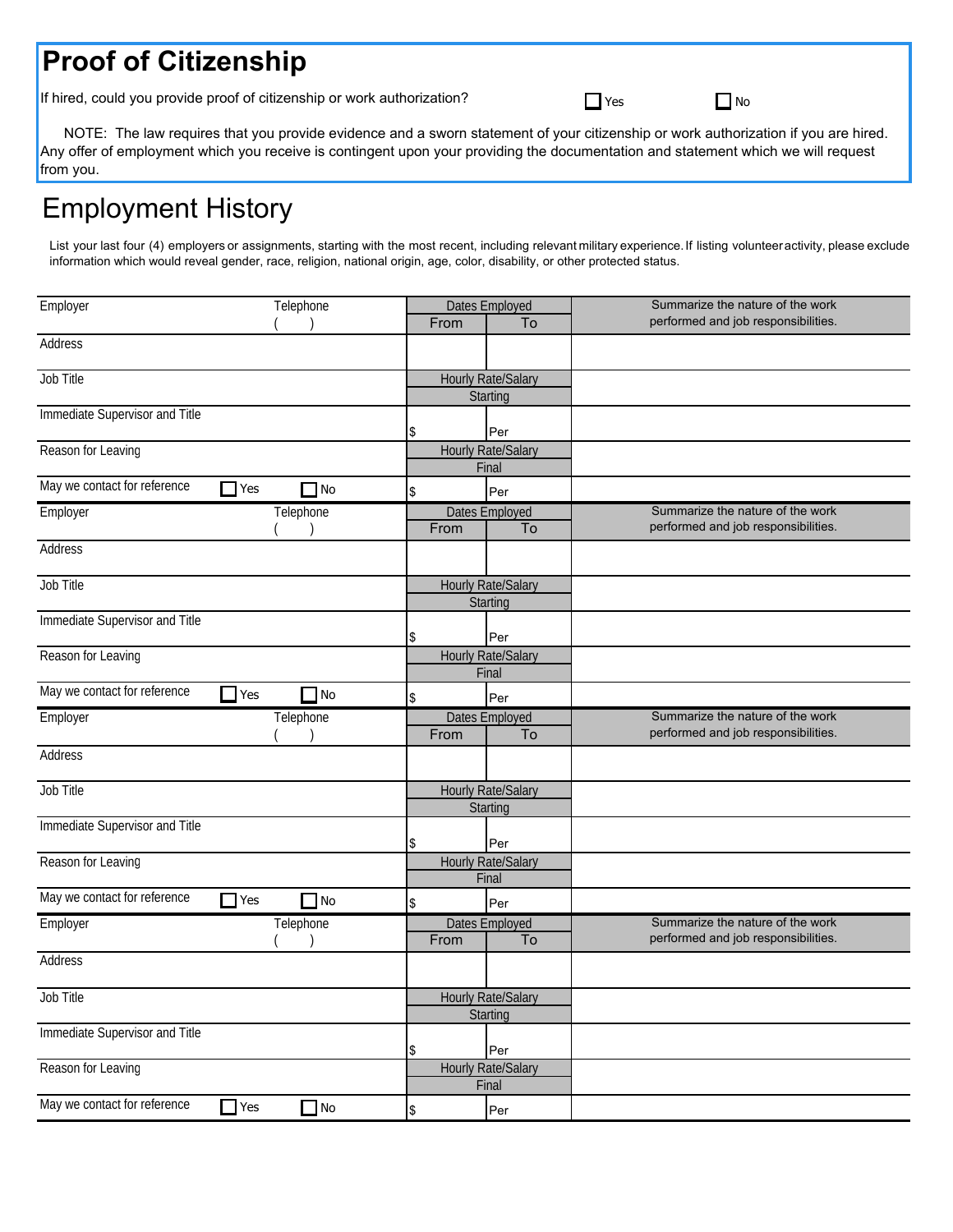# **Proof of Citizenship**

If hired, could you provide proof of citizenship or work authorization?

| . .<br>× |
|----------|
|----------|

 $\Box$  No

 NOTE: The law requires that you provide evidence and a sworn statement of your citizenship or work authorization if you are hired. Any offer of employment which you receive is contingent upon your providing the documentation and statement which we will request from you.

# Employment History

List your last four (4) employers or assignments, starting with the most recent, including relevant military experience.If listing volunteeractivity, please exclude information which would reveal gender, race, religion, national origin, age, color, disability, or other protected status.

| Employer                       | Telephone               |      | Dates Employed            | Summarize the nature of the work    |
|--------------------------------|-------------------------|------|---------------------------|-------------------------------------|
|                                |                         | From | To                        | performed and job responsibilities. |
| Address                        |                         |      |                           |                                     |
| Job Title                      |                         |      | <b>Hourly Rate/Salary</b> |                                     |
|                                |                         |      | Starting                  |                                     |
| Immediate Supervisor and Title |                         |      |                           |                                     |
|                                |                         | \$   | Per                       |                                     |
| Reason for Leaving             |                         |      | Hourly Rate/Salary        |                                     |
|                                |                         |      | Final                     |                                     |
| May we contact for reference   | $\Box$ Yes<br>$\Box$ No | \$   | Per                       |                                     |
| Employer                       | Telephone               |      | Dates Employed            | Summarize the nature of the work    |
|                                |                         | From | To                        | performed and job responsibilities. |
| Address                        |                         |      |                           |                                     |
| Job Title                      |                         |      | Hourly Rate/Salary        |                                     |
|                                |                         |      | Starting                  |                                     |
| Immediate Supervisor and Title |                         | \$   | Per                       |                                     |
| Reason for Leaving             |                         |      | <b>Hourly Rate/Salary</b> |                                     |
|                                |                         |      | Final                     |                                     |
| May we contact for reference   | $\Box$ Yes<br>$\Box$ No | \$   | Per                       |                                     |
| Employer                       | Telephone               |      | <b>Dates Employed</b>     | Summarize the nature of the work    |
|                                |                         | From | To                        | performed and job responsibilities. |
| Address                        |                         |      |                           |                                     |
| Job Title                      |                         |      | <b>Hourly Rate/Salary</b> |                                     |
|                                |                         |      | Starting                  |                                     |
| Immediate Supervisor and Title |                         |      |                           |                                     |
|                                |                         | \$   | Per                       |                                     |
| Reason for Leaving             |                         |      | <b>Hourly Rate/Salary</b> |                                     |
|                                |                         |      | Final                     |                                     |
| May we contact for reference   | $\Box$ Yes<br>$\Box$ No | \$   | Per                       |                                     |
| Employer                       | Telephone               |      | Dates Employed            | Summarize the nature of the work    |
|                                |                         | From | To                        | performed and job responsibilities. |
| Address                        |                         |      |                           |                                     |
| Job Title                      |                         |      | <b>Hourly Rate/Salary</b> |                                     |
|                                |                         |      | Starting                  |                                     |
| Immediate Supervisor and Title |                         | \$   | Per                       |                                     |
| Reason for Leaving             |                         |      | Hourly Rate/Salary        |                                     |
|                                |                         |      | Final                     |                                     |
| May we contact for reference   | $\Box$ Yes<br>$\Box$ No | \$   | Per                       |                                     |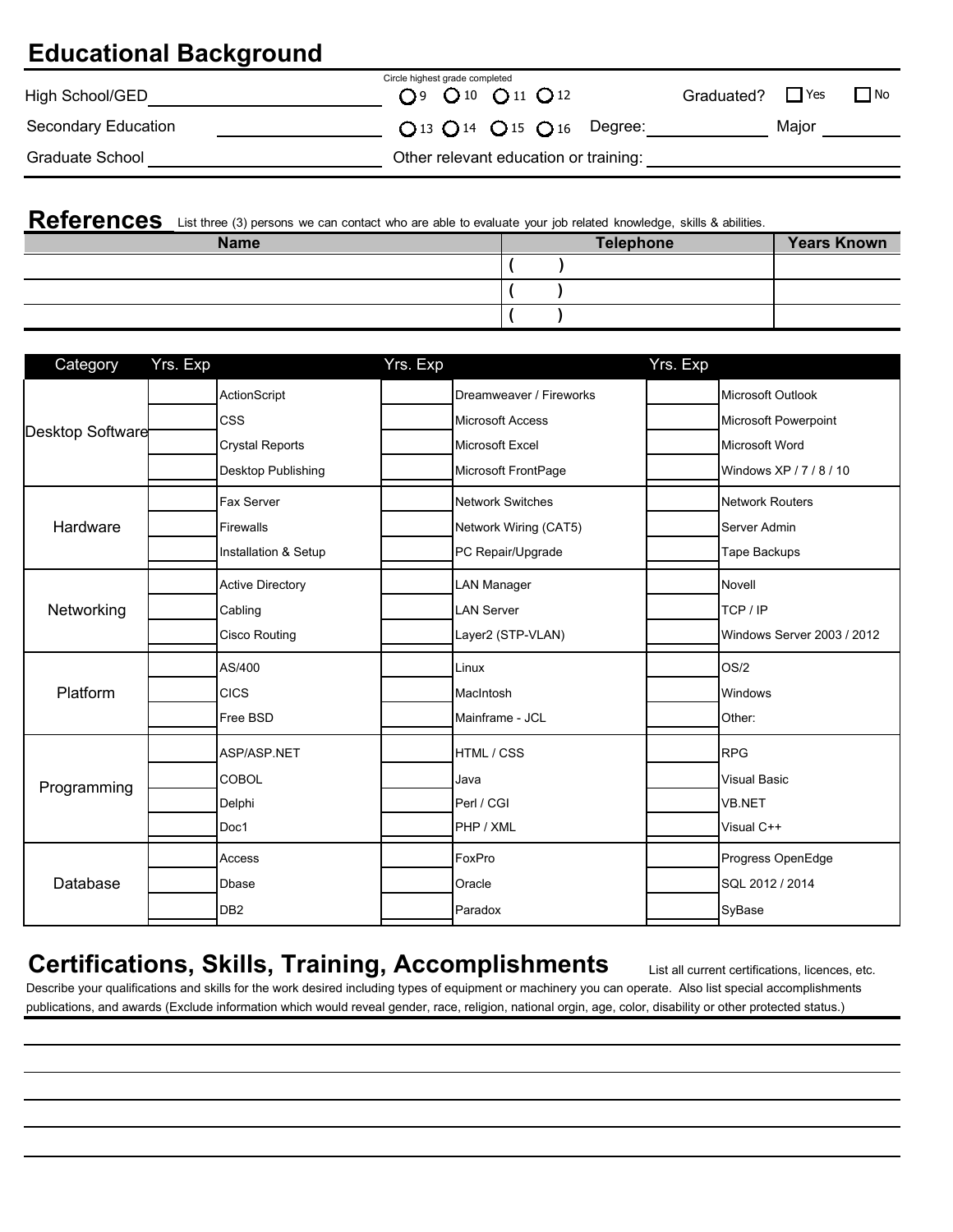## **Educational Background**

| High School/GED     | Circle highest grade completed<br>O <sub>9</sub> O <sub>10</sub> O <sub>11</sub> O <sub>12</sub> | Graduated? $\Box$ Yes<br>$\Box$ No |
|---------------------|--------------------------------------------------------------------------------------------------|------------------------------------|
| Secondary Education | $Q$ 13 $Q$ 14 $Q$ 15 $Q$ 16 Degree:                                                              | Maior                              |
| Graduate School     | Other relevant education or training:                                                            |                                    |

|             | References List three (3) persons we can contact who are able to evaluate your job related knowledge, skills & abilities. |                    |  |  |  |
|-------------|---------------------------------------------------------------------------------------------------------------------------|--------------------|--|--|--|
| <b>Name</b> | <b>Telephone</b>                                                                                                          | <b>Years Known</b> |  |  |  |
|             |                                                                                                                           |                    |  |  |  |
|             |                                                                                                                           |                    |  |  |  |
|             |                                                                                                                           |                    |  |  |  |

| Category         | Yrs. Exp |                         | Yrs. Exp |                         | Yrs. Exp |                            |
|------------------|----------|-------------------------|----------|-------------------------|----------|----------------------------|
|                  |          | ActionScript            |          | Dreamweaver / Fireworks |          | Microsoft Outlook          |
| Desktop Software |          | <b>CSS</b>              |          | <b>Microsoft Access</b> |          | Microsoft Powerpoint       |
|                  |          | <b>Crystal Reports</b>  |          | Microsoft Excel         |          | Microsoft Word             |
|                  |          | Desktop Publishing      |          | Microsoft FrontPage     |          | Windows XP / 7 / 8 / 10    |
|                  |          | Fax Server              |          | <b>Network Switches</b> |          | <b>Network Routers</b>     |
| Hardware         |          | <b>Firewalls</b>        |          | Network Wiring (CAT5)   |          | Server Admin               |
|                  |          | Installation & Setup    |          | PC Repair/Upgrade       |          | Tape Backups               |
|                  |          | <b>Active Directory</b> |          | <b>LAN Manager</b>      |          | Novell                     |
| Networking       |          | Cabling                 |          | <b>LAN Server</b>       |          | TCP / IP                   |
|                  |          | Cisco Routing           |          | Layer2 (STP-VLAN)       |          | Windows Server 2003 / 2012 |
|                  |          | AS/400                  |          | Linux                   |          | OS/2                       |
| Platform         |          | <b>CICS</b>             |          | MacIntosh               |          | Windows                    |
|                  |          | Free BSD                |          | Mainframe - JCL         |          | Other:                     |
|                  |          | ASP/ASP.NET             |          | HTML / CSS              |          | <b>RPG</b>                 |
| Programming      |          | <b>COBOL</b>            |          | Java                    |          | <b>Visual Basic</b>        |
|                  |          | Delphi                  |          | Perl / CGI              |          | VB.NET                     |
|                  |          | Doc1                    |          | PHP / XML               |          | Visual C++                 |
|                  |          | Access                  |          | FoxPro                  |          | Progress OpenEdge          |
| Database         |          | <b>D</b> base           |          | Oracle                  |          | SQL 2012 / 2014            |
|                  |          | DB <sub>2</sub>         |          | Paradox                 |          | SyBase                     |

### **Certifications, Skills, Training, Accomplishments**

publications, and awards (Exclude information which would reveal gender, race, religion, national orgin, age, color, disability or other protected status.) Describe your qualifications and skills for the work desired including types of equipment or machinery you can operate. Also list special accomplishments

List all current certifications, licences, etc.